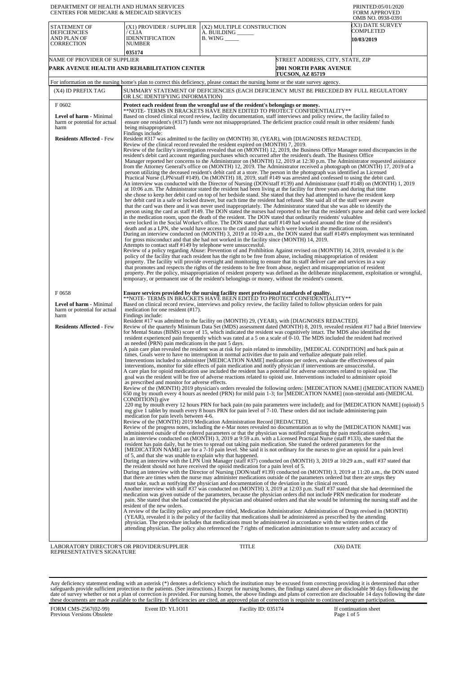| DEPARTMENT OF HEALTH AND HUMAN SERVICES<br><b>CENTERS FOR MEDICARE &amp; MEDICAID SERVICES</b>                     |                                                                                                                                                                                                                                                                                                                                                                                                                                                                                                                                                                                                                                                                                                                                                                                                                                                                                                                                                                                                                                                                                                                                                                                                                                                                                                                                                                                                                                                                                                                                                                                                                                                                                                                                                                                                                                                                                                                                                                                                                                                                                                                                                                                                                                                                                                                                                                          |                                                                                                                                                                                                                                                                                                                                                                                                                                                                                                                                                                                                                                                                                                                                                                                                                                                                                                                                                                                                                                                                                                                                                                                                                                                                                                                                                                                                                                                                                                                                                                                                                                                                                                                                                                                                                                                                                                                                                            | PRINTED:05/01/2020<br>FORM APPROVED                                                                                                                                                                                                                                                                                                                                                                                                                                                                                                                                                                                                                                                                                                                                                                                                                                                                                                         |
|--------------------------------------------------------------------------------------------------------------------|--------------------------------------------------------------------------------------------------------------------------------------------------------------------------------------------------------------------------------------------------------------------------------------------------------------------------------------------------------------------------------------------------------------------------------------------------------------------------------------------------------------------------------------------------------------------------------------------------------------------------------------------------------------------------------------------------------------------------------------------------------------------------------------------------------------------------------------------------------------------------------------------------------------------------------------------------------------------------------------------------------------------------------------------------------------------------------------------------------------------------------------------------------------------------------------------------------------------------------------------------------------------------------------------------------------------------------------------------------------------------------------------------------------------------------------------------------------------------------------------------------------------------------------------------------------------------------------------------------------------------------------------------------------------------------------------------------------------------------------------------------------------------------------------------------------------------------------------------------------------------------------------------------------------------------------------------------------------------------------------------------------------------------------------------------------------------------------------------------------------------------------------------------------------------------------------------------------------------------------------------------------------------------------------------------------------------------------------------------------------------|------------------------------------------------------------------------------------------------------------------------------------------------------------------------------------------------------------------------------------------------------------------------------------------------------------------------------------------------------------------------------------------------------------------------------------------------------------------------------------------------------------------------------------------------------------------------------------------------------------------------------------------------------------------------------------------------------------------------------------------------------------------------------------------------------------------------------------------------------------------------------------------------------------------------------------------------------------------------------------------------------------------------------------------------------------------------------------------------------------------------------------------------------------------------------------------------------------------------------------------------------------------------------------------------------------------------------------------------------------------------------------------------------------------------------------------------------------------------------------------------------------------------------------------------------------------------------------------------------------------------------------------------------------------------------------------------------------------------------------------------------------------------------------------------------------------------------------------------------------------------------------------------------------------------------------------------------------|---------------------------------------------------------------------------------------------------------------------------------------------------------------------------------------------------------------------------------------------------------------------------------------------------------------------------------------------------------------------------------------------------------------------------------------------------------------------------------------------------------------------------------------------------------------------------------------------------------------------------------------------------------------------------------------------------------------------------------------------------------------------------------------------------------------------------------------------------------------------------------------------------------------------------------------------|
| STATEMENT OF<br><b>DEFICIENCIES</b><br>AND PLAN OF<br><b>CORRECTION</b>                                            | (X1) PROVIDER / SUPPLIER<br>/ CLIA<br><b>IDENNTIFICATION</b><br><b>NUMBER</b><br>035174                                                                                                                                                                                                                                                                                                                                                                                                                                                                                                                                                                                                                                                                                                                                                                                                                                                                                                                                                                                                                                                                                                                                                                                                                                                                                                                                                                                                                                                                                                                                                                                                                                                                                                                                                                                                                                                                                                                                                                                                                                                                                                                                                                                                                                                                                  | (X2) MULTIPLE CONSTRUCTION<br>A. BUILDING<br><b>B.</b> WING ______                                                                                                                                                                                                                                                                                                                                                                                                                                                                                                                                                                                                                                                                                                                                                                                                                                                                                                                                                                                                                                                                                                                                                                                                                                                                                                                                                                                                                                                                                                                                                                                                                                                                                                                                                                                                                                                                                         | OMB NO. 0938-0391<br>(X3) DATE SURVEY<br>COMPLETED<br>10/03/2019                                                                                                                                                                                                                                                                                                                                                                                                                                                                                                                                                                                                                                                                                                                                                                                                                                                                            |
| NAME OF PROVIDER OF SUPPLIER                                                                                       | PARK AVENUE HEALTH AND REHABILITATION CENTER                                                                                                                                                                                                                                                                                                                                                                                                                                                                                                                                                                                                                                                                                                                                                                                                                                                                                                                                                                                                                                                                                                                                                                                                                                                                                                                                                                                                                                                                                                                                                                                                                                                                                                                                                                                                                                                                                                                                                                                                                                                                                                                                                                                                                                                                                                                             | <b>TUCSON, AZ 85719</b>                                                                                                                                                                                                                                                                                                                                                                                                                                                                                                                                                                                                                                                                                                                                                                                                                                                                                                                                                                                                                                                                                                                                                                                                                                                                                                                                                                                                                                                                                                                                                                                                                                                                                                                                                                                                                                                                                                                                    | STREET ADDRESS, CITY, STATE, ZIP<br><b>2001 NORTH PARK AVENUE</b>                                                                                                                                                                                                                                                                                                                                                                                                                                                                                                                                                                                                                                                                                                                                                                                                                                                                           |
|                                                                                                                    |                                                                                                                                                                                                                                                                                                                                                                                                                                                                                                                                                                                                                                                                                                                                                                                                                                                                                                                                                                                                                                                                                                                                                                                                                                                                                                                                                                                                                                                                                                                                                                                                                                                                                                                                                                                                                                                                                                                                                                                                                                                                                                                                                                                                                                                                                                                                                                          | For information on the nursing home's plan to correct this deficiency, please contact the nursing home or the state survey agency.                                                                                                                                                                                                                                                                                                                                                                                                                                                                                                                                                                                                                                                                                                                                                                                                                                                                                                                                                                                                                                                                                                                                                                                                                                                                                                                                                                                                                                                                                                                                                                                                                                                                                                                                                                                                                         |                                                                                                                                                                                                                                                                                                                                                                                                                                                                                                                                                                                                                                                                                                                                                                                                                                                                                                                                             |
| (X4) ID PREFIX TAG                                                                                                 | OR LSC IDENTIFYING INFORMATION)                                                                                                                                                                                                                                                                                                                                                                                                                                                                                                                                                                                                                                                                                                                                                                                                                                                                                                                                                                                                                                                                                                                                                                                                                                                                                                                                                                                                                                                                                                                                                                                                                                                                                                                                                                                                                                                                                                                                                                                                                                                                                                                                                                                                                                                                                                                                          | SUMMARY STATEMENT OF DEFICIENCIES (EACH DEFICIENCY MUST BE PRECEDED BY FULL REGULATORY                                                                                                                                                                                                                                                                                                                                                                                                                                                                                                                                                                                                                                                                                                                                                                                                                                                                                                                                                                                                                                                                                                                                                                                                                                                                                                                                                                                                                                                                                                                                                                                                                                                                                                                                                                                                                                                                     |                                                                                                                                                                                                                                                                                                                                                                                                                                                                                                                                                                                                                                                                                                                                                                                                                                                                                                                                             |
| F0602<br><b>Level of harm - Minimal</b><br>harm or potential for actual<br>harm<br><b>Residents Affected - Few</b> | being misappropriated.<br>Findings include:                                                                                                                                                                                                                                                                                                                                                                                                                                                                                                                                                                                                                                                                                                                                                                                                                                                                                                                                                                                                                                                                                                                                                                                                                                                                                                                                                                                                                                                                                                                                                                                                                                                                                                                                                                                                                                                                                                                                                                                                                                                                                                                                                                                                                                                                                                                              | Protect each resident from the wrongful use of the resident's belongings or money.<br>**NOTE- TERMS IN BRACKETS HAVE BEEN EDITED TO PROTECT CONFIDENTIALITY**<br>Based on closed clinical record review, facility documentation, staff interviews and policy review, the facility failed to<br>ensure one resident's (#317) funds were not misappropriated. The deficient practice could result in other residents' funds<br>Resident #317 was admitted to the facility on (MONTH) 30, (YEAR), with [DIAGNOSES REDACTED].<br>Review of the clinical record revealed the resident expired on (MONTH) 7, 2019.                                                                                                                                                                                                                                                                                                                                                                                                                                                                                                                                                                                                                                                                                                                                                                                                                                                                                                                                                                                                                                                                                                                                                                                                                                                                                                                                               |                                                                                                                                                                                                                                                                                                                                                                                                                                                                                                                                                                                                                                                                                                                                                                                                                                                                                                                                             |
|                                                                                                                    | Attempts to contact staff #149 by telephone were unsuccessful.                                                                                                                                                                                                                                                                                                                                                                                                                                                                                                                                                                                                                                                                                                                                                                                                                                                                                                                                                                                                                                                                                                                                                                                                                                                                                                                                                                                                                                                                                                                                                                                                                                                                                                                                                                                                                                                                                                                                                                                                                                                                                                                                                                                                                                                                                                           | resident's debit card account regarding purchases which occurred after the resident's death. The Business Office<br>person utilizing the deceased resident's debit card at a store. The person in the photograph was identified as Licensed<br>Practical Nurse (LPN/staff #149). On (MONTH) 18, 2019, staff #149 was arrested and confessed to using the debit card.<br>at 10:06 a.m. The Administrator stated the resident had been living at the facility for three years and during that time<br>she chose to keep her debit card on top of her bedside stand. She stated that they had attempted to have the resident keep<br>her debit card in a safe or locked drawer, but each time the resident had refused. She said all of the staff were aware<br>that the card was there and it was never used inappropriately. The Administrator stated that she was able to identify the<br>in the medication room, upon the death of the resident. The DON stated that ordinarily residents' valuables<br>were locked in the Social Worker's office. The DON stated that staff #149 had worked around the time of the resident's<br>death and as a LPN, she would have access to the card and purse which were locked in the medication room.<br>for gross misconduct and that she had not worked in the facility since (MONTH) 14, 2019.<br>Review of a policy regarding Abuse: Prevention of and Prohibition Against revised on (MONTH) 14, 2019, revealed it is the<br>policy of the facility that each resident has the right to be free from abuse, including misappropriation of resident<br>property. The facility will provide oversight and monitoring to ensure that its staff deliver care and services in a way<br>that promotes and respects the rights of the residents to be free from abuse, neglect and misappropriation of resident<br>temporary, or permanent use of the resident's belongings or money, without the resident's consent. | Review of the facility's investigation revealed that on (MONTH) 12, 2019, the Business Office Manager noted discrepancies in the<br>Manager reported her concerns to the Administrator on (MONTH) 12, 2019 at 12:30 p.m. The Administrator requested assistance<br>from the Attorney General's office on (MONTH) 12, 2019. The Administrator received a photograph on (MONTH) 17, 2019 of a<br>An interview was conducted with the Director of Nursing (DON/staff #139) and Administrator (staff #148) on (MONTH) 1, 2019<br>person using the card as staff #149. The DON stated the nurses had reported to her that the resident's purse and debit card were locked<br>During an interview conducted on (MONTH) 3, 2019 at 10:49 a.m., the DON stated that staff #149's employment was terminated<br>property. Per the policy, misappropriation of resident property was defined as the deliberate misplacement, exploitation or wrongful, |
| F0658<br>Level of harm - Minimal<br>harm or potential for actual<br>harm                                           | medication for one resident (#17).<br>Findings include:                                                                                                                                                                                                                                                                                                                                                                                                                                                                                                                                                                                                                                                                                                                                                                                                                                                                                                                                                                                                                                                                                                                                                                                                                                                                                                                                                                                                                                                                                                                                                                                                                                                                                                                                                                                                                                                                                                                                                                                                                                                                                                                                                                                                                                                                                                                  | Ensure services provided by the nursing facility meet professional standards of quality.<br>**NOTE- TERMS IN BRACKETS HAVE BEEN EDITED TO PROTECT CONFIDENTIALITY**<br>Based on clinical record review, interviews and policy review, the facility failed to follow physician orders for pain                                                                                                                                                                                                                                                                                                                                                                                                                                                                                                                                                                                                                                                                                                                                                                                                                                                                                                                                                                                                                                                                                                                                                                                                                                                                                                                                                                                                                                                                                                                                                                                                                                                              |                                                                                                                                                                                                                                                                                                                                                                                                                                                                                                                                                                                                                                                                                                                                                                                                                                                                                                                                             |
| <b>Residents Affected - Few</b>                                                                                    | as needed (PRN) pain medications in the past 5 days.                                                                                                                                                                                                                                                                                                                                                                                                                                                                                                                                                                                                                                                                                                                                                                                                                                                                                                                                                                                                                                                                                                                                                                                                                                                                                                                                                                                                                                                                                                                                                                                                                                                                                                                                                                                                                                                                                                                                                                                                                                                                                                                                                                                                                                                                                                                     | Resident #17 was admitted to the facility on (MONTH) 29, (YEAR), with [DIAGNOSES REDACTED].<br>for Mental Status (BIMS) score of 15, which indicated the resident was cognitively intact. The MDS also identified the<br>resident experienced pain frequently which was rated at a 5 on a scale of 0-10. The MDS included the resident had received<br>A pain care plan revealed the resident was at risk for pain related to immobility, [MEDICAL CONDITION] and back pain at<br>times. Goals were to have no interruption in normal activities due to pain and verbalize adequate pain relief.<br>Interventions included to administer [MEDICATION NAME] medications per orders, evaluate the effectiveness of pain<br>interventions, monitor for side effects of pain medication and notify physician if interventions are unsuccessful.<br>A care plan for opioid medication use included the resident has a potential for adverse outcomes related to opioid use. The<br>goal was the resident will be free of adverse reactions related to opioid use. Interventions included to administer opioid                                                                                                                                                                                                                                                                                                                                                                                                                                                                                                                                                                                                                                                                                                                                                                                                                                                   | Review of the quarterly Minimum Data Set (MDS) assessment dated (MONTH) 8, 2019, revealed resident #17 had a Brief Interview                                                                                                                                                                                                                                                                                                                                                                                                                                                                                                                                                                                                                                                                                                                                                                                                                |
|                                                                                                                    | as prescribed and monitor for adverse effects.<br>CONDITION]) give                                                                                                                                                                                                                                                                                                                                                                                                                                                                                                                                                                                                                                                                                                                                                                                                                                                                                                                                                                                                                                                                                                                                                                                                                                                                                                                                                                                                                                                                                                                                                                                                                                                                                                                                                                                                                                                                                                                                                                                                                                                                                                                                                                                                                                                                                                       | mg give 1 tablet by mouth every 8 hours PRN for pain level of 7-10. These orders did not include administering pain                                                                                                                                                                                                                                                                                                                                                                                                                                                                                                                                                                                                                                                                                                                                                                                                                                                                                                                                                                                                                                                                                                                                                                                                                                                                                                                                                                                                                                                                                                                                                                                                                                                                                                                                                                                                                                        | Review of the (MONTH) 2019 physician's orders revealed the following orders: [MEDICATION NAME] ([MEDICATION NAME])<br>650 mg by mouth every 4 hours as needed (PRN) for mild pain 1-3; for [MEDICATION NAME] (non-steroidal anti-[MEDICAL<br>220 mg by mouth every 12 hours PRN for back pain (no pain parameters were included); and for [MEDICATION NAME] (opioid) 5                                                                                                                                                                                                                                                                                                                                                                                                                                                                                                                                                                      |
|                                                                                                                    | medication for pain levels between 4-6.<br>Review of the (MONTH) 2019 Medication Administration Record [REDACTED].<br>Review of the progress notes, including the e-Mar notes revealed no documentation as to why the [MEDICATION NAME] was<br>administered outside of the ordered parameters or that the physician was notified regarding the pain medication orders.<br>In an interview conducted on (MONTH) 3, 2019 at 9:59 a.m. with a Licensed Practical Nurse (staff #133), she stated that the<br>resident has pain daily, but he tries to spread out taking pain medication. She stated the ordered parameters for the<br>[MEDICATION NAME] are for a 7-10 pain level. She said it is not ordinary for the nurses to give an opioid for a pain level<br>of 5, and that she was unable to explain why that happened.<br>During an interview with the LPN Unit Manager (staff #37) conducted on (MONTH) 3, 2019 at 10:29 a.m., staff #37 stated that<br>the resident should not have received the opioid medication for a pain level of 5.<br>During an interview with the Director of Nursing (DON/staff #139) conducted on (MONTH) 3, 2019 at 11:20 a.m., the DON stated<br>that there are times when the nurse may administer medications outside of the parameters ordered but there are steps they<br>must take, such as notifying the physician and documentation of the deviation in the clinical record.<br>Another interview with staff #37 was conducted on (MONTH) 3, 2019 at 12:03 p.m. Staff #37 stated that she had determined the<br>medication was given outside of the parameters, because the physician orders did not include PRN medication for moderate<br>pain. She stated that she had contacted the physician and obtained orders and that she would be informing the nursing staff and the<br>resident of the new orders.<br>A review of the facility policy and procedure titled, Medication Administration: Administration of Drugs revised in (MONTH)<br>(YEAR), revealed it is the policy of the facility that medications shall be administered as prescribed by the attending<br>physician. The procedure includes that medications must be administered in accordance with the written orders of the<br>attending physician. The policy also referenced the 7 rights of medication administration to ensure safety and accuracy of |                                                                                                                                                                                                                                                                                                                                                                                                                                                                                                                                                                                                                                                                                                                                                                                                                                                                                                                                                                                                                                                                                                                                                                                                                                                                                                                                                                                                                                                                                                                                                                                                                                                                                                                                                                                                                                                                                                                                                            |                                                                                                                                                                                                                                                                                                                                                                                                                                                                                                                                                                                                                                                                                                                                                                                                                                                                                                                                             |
| LABORATORY DIRECTOR'S OR PROVIDER/SUPPLIER<br>REPRESENTATIVE'S SIGNATURE                                           |                                                                                                                                                                                                                                                                                                                                                                                                                                                                                                                                                                                                                                                                                                                                                                                                                                                                                                                                                                                                                                                                                                                                                                                                                                                                                                                                                                                                                                                                                                                                                                                                                                                                                                                                                                                                                                                                                                                                                                                                                                                                                                                                                                                                                                                                                                                                                                          | TITLE                                                                                                                                                                                                                                                                                                                                                                                                                                                                                                                                                                                                                                                                                                                                                                                                                                                                                                                                                                                                                                                                                                                                                                                                                                                                                                                                                                                                                                                                                                                                                                                                                                                                                                                                                                                                                                                                                                                                                      | (X6) DATE                                                                                                                                                                                                                                                                                                                                                                                                                                                                                                                                                                                                                                                                                                                                                                                                                                                                                                                                   |

Any deficiency statement ending with an asterisk (\*) denotes a deficiency which the institution may be excused from correcting providing it is determined that other safeguards provide sufficient protection to the patients.

FORM CMS-2567(02-99) Previous Versions Obsolete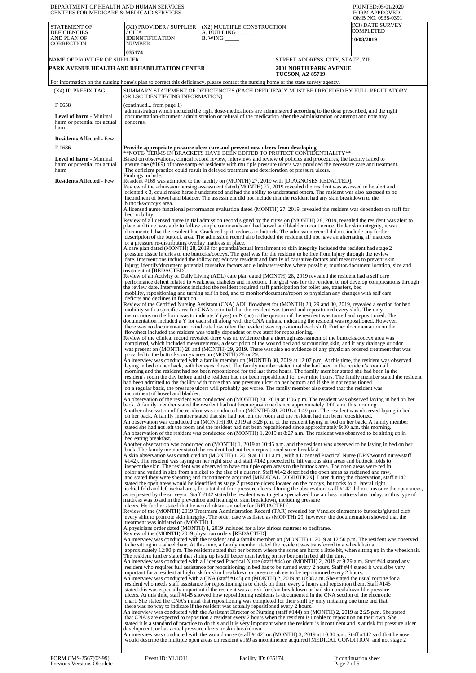| DEPARTMENT OF HEALTH AND HUMAN SERVICES<br><b>CENTERS FOR MEDICARE &amp; MEDICAID SERVICES</b>                     |                                                                                                                                                                                                                                                                                                                                                                                                                                                                                          |                                                                                                                                                                                                                                                                                                                                                                                                                                                                                                                                                                                                                                                                                                                                                                                                                                                                                                                                                                                                                                                                                                                                                                                                                                                                                                                                                                                                                                                                                                                                                                                                                                                                                                                                                                                                                                                                                                                                                                                                                                                                                                                                                                                                                                                                                                                                                                                                                                                                                                                                                                                                                                                                                                                                                                                                                                                                                                                                                                                                                                                                                                                                                                                                                                                                                                                                                                                                                                                                                                                                                                                                                                                                                                                                                                                                                                                                                                                                                                                                                                                                                                                                                                                                                                                                                                                                                                                                                                                                                                                                                                                                                                                                                                                                                                                                                                                                                                                                                                                                                                                                                                                                                                                                                                                                                                                                                                                                                                                                                                                                                                                                                                                                                                                                                                                                                                                                                                                                                                                                                                                                                                                                                                                                                                                                                                                                                                                                                                                                                                                                                                                                                                                                                                                                                                                                                                                                                                                                                                                                                                                                                                                                                                                                                                                                                                                                                                                                                                                                                                                                                                                                                                                                                                                                                                                                                                                                                                                                                                                                                                                                                                                                                                                                                                                                                                                                                                                                                                                                                                                                                                                                                                                                                                                                                                                                                                                                                                                                                                                                                                                                                                                                                                                                                                                                                                                                                                                                                                                                                                                                                                                                   | PRINTED:05/01/2020<br><b>FORM APPROVED</b><br>OMB NO. 0938-0391 |
|--------------------------------------------------------------------------------------------------------------------|------------------------------------------------------------------------------------------------------------------------------------------------------------------------------------------------------------------------------------------------------------------------------------------------------------------------------------------------------------------------------------------------------------------------------------------------------------------------------------------|---------------------------------------------------------------------------------------------------------------------------------------------------------------------------------------------------------------------------------------------------------------------------------------------------------------------------------------------------------------------------------------------------------------------------------------------------------------------------------------------------------------------------------------------------------------------------------------------------------------------------------------------------------------------------------------------------------------------------------------------------------------------------------------------------------------------------------------------------------------------------------------------------------------------------------------------------------------------------------------------------------------------------------------------------------------------------------------------------------------------------------------------------------------------------------------------------------------------------------------------------------------------------------------------------------------------------------------------------------------------------------------------------------------------------------------------------------------------------------------------------------------------------------------------------------------------------------------------------------------------------------------------------------------------------------------------------------------------------------------------------------------------------------------------------------------------------------------------------------------------------------------------------------------------------------------------------------------------------------------------------------------------------------------------------------------------------------------------------------------------------------------------------------------------------------------------------------------------------------------------------------------------------------------------------------------------------------------------------------------------------------------------------------------------------------------------------------------------------------------------------------------------------------------------------------------------------------------------------------------------------------------------------------------------------------------------------------------------------------------------------------------------------------------------------------------------------------------------------------------------------------------------------------------------------------------------------------------------------------------------------------------------------------------------------------------------------------------------------------------------------------------------------------------------------------------------------------------------------------------------------------------------------------------------------------------------------------------------------------------------------------------------------------------------------------------------------------------------------------------------------------------------------------------------------------------------------------------------------------------------------------------------------------------------------------------------------------------------------------------------------------------------------------------------------------------------------------------------------------------------------------------------------------------------------------------------------------------------------------------------------------------------------------------------------------------------------------------------------------------------------------------------------------------------------------------------------------------------------------------------------------------------------------------------------------------------------------------------------------------------------------------------------------------------------------------------------------------------------------------------------------------------------------------------------------------------------------------------------------------------------------------------------------------------------------------------------------------------------------------------------------------------------------------------------------------------------------------------------------------------------------------------------------------------------------------------------------------------------------------------------------------------------------------------------------------------------------------------------------------------------------------------------------------------------------------------------------------------------------------------------------------------------------------------------------------------------------------------------------------------------------------------------------------------------------------------------------------------------------------------------------------------------------------------------------------------------------------------------------------------------------------------------------------------------------------------------------------------------------------------------------------------------------------------------------------------------------------------------------------------------------------------------------------------------------------------------------------------------------------------------------------------------------------------------------------------------------------------------------------------------------------------------------------------------------------------------------------------------------------------------------------------------------------------------------------------------------------------------------------------------------------------------------------------------------------------------------------------------------------------------------------------------------------------------------------------------------------------------------------------------------------------------------------------------------------------------------------------------------------------------------------------------------------------------------------------------------------------------------------------------------------------------------------------------------------------------------------------------------------------------------------------------------------------------------------------------------------------------------------------------------------------------------------------------------------------------------------------------------------------------------------------------------------------------------------------------------------------------------------------------------------------------------------------------------------------------------------------------------------------------------------------------------------------------------------------------------------------------------------------------------------------------------------------------------------------------------------------------------------------------------------------------------------------------------------------------------------------------------------------------------------------------------------------------------------------------------------------------------------------------------------------------------------------------------------------------------------------------------------------------------------------------------------------------------------------------------------------------------------------------------------------------------------------------------------------------------------------------------------------------------------------------------------------------------------------------------------------------------------------------------------------------------------------------------------------------------------------------------------------------------------------------------------------------------------------------------------------------------------------------------------------------------------------------------------------------------------------------------------------------------------------------------------------------------------------------------------------------------------------------------------------------------------------------------------------------------------------------------------------------------------------------------------------------------------------------------------------------------------------------------------------------------------------------------------------------------------------------------------------------------------------------------------------------------------------------------------------------------------------------------------------------------------------------------------------------------------------------|-----------------------------------------------------------------|
| <b>STATEMENT OF</b><br><b>DEFICIENCIES</b><br>AND PLAN OF<br><b>CORRECTION</b>                                     | (X1) PROVIDER / SUPPLIER<br>/ CLIA<br><b>IDENNTIFICATION</b><br><b>NUMBER</b><br>035174                                                                                                                                                                                                                                                                                                                                                                                                  | (X2) MULTIPLE CONSTRUCTION<br>A. BUILDING ______<br>$B.$ WING $\_\_\_\_\_\_\_\$                                                                                                                                                                                                                                                                                                                                                                                                                                                                                                                                                                                                                                                                                                                                                                                                                                                                                                                                                                                                                                                                                                                                                                                                                                                                                                                                                                                                                                                                                                                                                                                                                                                                                                                                                                                                                                                                                                                                                                                                                                                                                                                                                                                                                                                                                                                                                                                                                                                                                                                                                                                                                                                                                                                                                                                                                                                                                                                                                                                                                                                                                                                                                                                                                                                                                                                                                                                                                                                                                                                                                                                                                                                                                                                                                                                                                                                                                                                                                                                                                                                                                                                                                                                                                                                                                                                                                                                                                                                                                                                                                                                                                                                                                                                                                                                                                                                                                                                                                                                                                                                                                                                                                                                                                                                                                                                                                                                                                                                                                                                                                                                                                                                                                                                                                                                                                                                                                                                                                                                                                                                                                                                                                                                                                                                                                                                                                                                                                                                                                                                                                                                                                                                                                                                                                                                                                                                                                                                                                                                                                                                                                                                                                                                                                                                                                                                                                                                                                                                                                                                                                                                                                                                                                                                                                                                                                                                                                                                                                                                                                                                                                                                                                                                                                                                                                                                                                                                                                                                                                                                                                                                                                                                                                                                                                                                                                                                                                                                                                                                                                                                                                                                                                                                                                                                                                                                                                                                                                                                                                                                   | (X3) DATE SURVEY<br>COMPLETED<br>10/03/2019                     |
| NAME OF PROVIDER OF SUPPLIER                                                                                       | PARK AVENUE HEALTH AND REHABILITATION CENTER                                                                                                                                                                                                                                                                                                                                                                                                                                             | <b>2001 NORTH PARK AVENUE</b><br>TUCSON, AZ 85719                                                                                                                                                                                                                                                                                                                                                                                                                                                                                                                                                                                                                                                                                                                                                                                                                                                                                                                                                                                                                                                                                                                                                                                                                                                                                                                                                                                                                                                                                                                                                                                                                                                                                                                                                                                                                                                                                                                                                                                                                                                                                                                                                                                                                                                                                                                                                                                                                                                                                                                                                                                                                                                                                                                                                                                                                                                                                                                                                                                                                                                                                                                                                                                                                                                                                                                                                                                                                                                                                                                                                                                                                                                                                                                                                                                                                                                                                                                                                                                                                                                                                                                                                                                                                                                                                                                                                                                                                                                                                                                                                                                                                                                                                                                                                                                                                                                                                                                                                                                                                                                                                                                                                                                                                                                                                                                                                                                                                                                                                                                                                                                                                                                                                                                                                                                                                                                                                                                                                                                                                                                                                                                                                                                                                                                                                                                                                                                                                                                                                                                                                                                                                                                                                                                                                                                                                                                                                                                                                                                                                                                                                                                                                                                                                                                                                                                                                                                                                                                                                                                                                                                                                                                                                                                                                                                                                                                                                                                                                                                                                                                                                                                                                                                                                                                                                                                                                                                                                                                                                                                                                                                                                                                                                                                                                                                                                                                                                                                                                                                                                                                                                                                                                                                                                                                                                                                                                                                                                                                                                                                                                 | STREET ADDRESS, CITY, STATE, ZIP                                |
| (X4) ID PREFIX TAG                                                                                                 | OR LSC IDENTIFYING INFORMATION)                                                                                                                                                                                                                                                                                                                                                                                                                                                          | For information on the nursing home's plan to correct this deficiency, please contact the nursing home or the state survey agency.<br>SUMMARY STATEMENT OF DEFICIENCIES (EACH DEFICIENCY MUST BE PRECEDED BY FULL REGULATORY                                                                                                                                                                                                                                                                                                                                                                                                                                                                                                                                                                                                                                                                                                                                                                                                                                                                                                                                                                                                                                                                                                                                                                                                                                                                                                                                                                                                                                                                                                                                                                                                                                                                                                                                                                                                                                                                                                                                                                                                                                                                                                                                                                                                                                                                                                                                                                                                                                                                                                                                                                                                                                                                                                                                                                                                                                                                                                                                                                                                                                                                                                                                                                                                                                                                                                                                                                                                                                                                                                                                                                                                                                                                                                                                                                                                                                                                                                                                                                                                                                                                                                                                                                                                                                                                                                                                                                                                                                                                                                                                                                                                                                                                                                                                                                                                                                                                                                                                                                                                                                                                                                                                                                                                                                                                                                                                                                                                                                                                                                                                                                                                                                                                                                                                                                                                                                                                                                                                                                                                                                                                                                                                                                                                                                                                                                                                                                                                                                                                                                                                                                                                                                                                                                                                                                                                                                                                                                                                                                                                                                                                                                                                                                                                                                                                                                                                                                                                                                                                                                                                                                                                                                                                                                                                                                                                                                                                                                                                                                                                                                                                                                                                                                                                                                                                                                                                                                                                                                                                                                                                                                                                                                                                                                                                                                                                                                                                                                                                                                                                                                                                                                                                                                                                                                                                                                                                                                      |                                                                 |
| F0658<br><b>Level of harm - Minimal</b><br>harm or potential for actual<br>harm<br><b>Residents Affected - Few</b> | (continued from page 1)<br>concerns.                                                                                                                                                                                                                                                                                                                                                                                                                                                     | administration which included the right dose-medications are administered according to the dose prescribed, and the right<br>documentation-document administration or refusal of the medication after the administration or attempt and note any                                                                                                                                                                                                                                                                                                                                                                                                                                                                                                                                                                                                                                                                                                                                                                                                                                                                                                                                                                                                                                                                                                                                                                                                                                                                                                                                                                                                                                                                                                                                                                                                                                                                                                                                                                                                                                                                                                                                                                                                                                                                                                                                                                                                                                                                                                                                                                                                                                                                                                                                                                                                                                                                                                                                                                                                                                                                                                                                                                                                                                                                                                                                                                                                                                                                                                                                                                                                                                                                                                                                                                                                                                                                                                                                                                                                                                                                                                                                                                                                                                                                                                                                                                                                                                                                                                                                                                                                                                                                                                                                                                                                                                                                                                                                                                                                                                                                                                                                                                                                                                                                                                                                                                                                                                                                                                                                                                                                                                                                                                                                                                                                                                                                                                                                                                                                                                                                                                                                                                                                                                                                                                                                                                                                                                                                                                                                                                                                                                                                                                                                                                                                                                                                                                                                                                                                                                                                                                                                                                                                                                                                                                                                                                                                                                                                                                                                                                                                                                                                                                                                                                                                                                                                                                                                                                                                                                                                                                                                                                                                                                                                                                                                                                                                                                                                                                                                                                                                                                                                                                                                                                                                                                                                                                                                                                                                                                                                                                                                                                                                                                                                                                                                                                                                                                                                                                                                                  |                                                                 |
| F0686<br><b>Level of harm - Minimal</b><br>harm or potential for actual<br>harm<br><b>Residents Affected - Few</b> | Findings include:<br>buttocks/coccyx area.<br>bed mobility.<br>or a pressure re-distributing overlay mattress in place.<br>treatment of [REDACTED].<br>deficits and declines in function.<br>provided to the buttock/coccyx area on (MONTH) 28 or 29.<br>incontinent of bowel and bladder.<br>bed eating breakfast.<br>treatment was initiated on (MONTH) 1.<br>Review of the (MONTH) 2019 physician orders [REDACTED].<br>development, or has actual pressure ulcers or skin breakdown. | Provide appropriate pressure ulcer care and prevent new ulcers from developing.<br>**NOTE-TERMS IN BRACKETS HAVE BEEN EDITED TO PROTECT CONFIDENTIALITY**<br>Based on observations, clinical record review, interviews and review of policies and procedures, the facility failed to<br>ensure one (#169) of three sampled residents with multiple pressure ulcers was provided the necessary care and treatment.<br>The deficient practice could result in delayed treatment and deterioration of pressure ulcers.<br>Resident #169 was admitted to the facility on (MONTH) 27, 2019 with [DIAGNOSES REDACTED].<br>Review of the admission nursing assessment dated (MONTH) 27, 2019 revealed the resident was assessed to be alert and<br>oriented x 3, could make herself understood and had the ability to understand others. The resident was also assessed to be<br>incontinent of bowel and bladder. The assessment did not include that the resident had any skin breakdown to the<br>A licensed nurse functional performance evaluation dated (MONTH) 27, 2019, revealed the resident was dependent on staff for<br>Review of a licensed nurse initial admission record signed by the nurse on (MONTH) 28, 2019, revealed the resident was alert to<br>place and time, was able to follow simple commands and had bowel and bladder incontinence. Under skin integrity, it was<br>documented that the resident had Crack red split, redness to buttock. The admission record did not include any further<br>description of the buttock area. The admission record also included the resident did not have an alternating air mattress<br>A care plan dated (MONTH) 28, 2019 for potential/actual impairment to skin integrity included the resident had stage 2<br>pressure tissue injuries to the buttocks/coccyx. The goal was for the resident to be free from injury through the review<br>date. Interventions included the following: educate resident and family of causative factors and measures to prevent skin<br>injury; identify/document potential causative factors and eliminate/resolve where possible; monitor/document location, size and<br>Review of an Activity of Daily Living (ADL) care plan dated (MONTH) 28, 2019 revealed the resident had a self care<br>performance deficit related to weakness, diabetes and infection. The goal was for the resident to not develop complications through<br>the review date. Interventions included the resident required staff participation for toilet use, transfers, bed<br>mobility, repositioning and turning self in bed, and to monitor/document/report to physician any changes with self care<br>Review of the Certified Nursing Assistant (CNA) ADL flowsheet for (MONTH) 28, 29 and 30, 2019, revealed a section for bed<br>mobility with a specific area for CNA's to initial that the resident was turned and repositioned every shift. The only<br>instructions on the form was to indicate Y (yes) or N (no) to the question if the resident was turned and repositioned. The<br>documentation included a Y for each shift along with the CNA initials, indicating the resident was repositioned. However,<br>there was no documentation to indicate how often the resident was repositioned each shift. Further documentation on the<br>flowsheet included the resident was totally dependent on two staff for repositioning.<br>Review of the clinical record revealed there was no evidence that a thorough assessment of the buttocks/coccyx area was<br>completed, which included measurements, a description of the wound bed and surrounding skin, and if any drainage or odor<br>was present on (MONTH) 28 and (MONTH) 29, 2019. There was also no evidence of any physician ordered treatment that was<br>An interview was conducted with a family member on (MONTH) 30, 2019 at 12:07 p.m. At this time, the resident was observed<br>laying in bed on her back, with her eyes closed. The family member stated that she had been in the resident's room all<br>morning and the resident had not been repositioned for the last three hours. The family member stated she had been in the<br>resident's room the day before and the resident had not been repositioned for over nine hours. The family member stated the resident<br>had been admitted to the facility with more than one pressure ulcer on her bottom and if she is not repositioned<br>on a regular basis, the pressure ulcers will probably get worse. The family member also stated that the resident was<br>An observation of the resident was conducted on (MONTH) 30, 2019 at 1:06 p.m. The resident was observed laying in bed on her<br>back. A family member stated the resident had not been repositioned since approximately 9:00 a.m. this morning.<br>Another observation of the resident was conducted on (MONTH) 30, 2019 at 1:49 p.m. The resident was observed laying in bed<br>on her back. A family member stated that she had not left the room and the resident had not been repositioned.<br>An observation was conducted on (MONTH) 30, 2019 at 3:28 p.m. of the resident laying in bed on her back. A family member<br>stated she had not left the room and the resident had not been repositioned since approximately 9:00 a.m. this morning.<br>An observation of the resident was conducted on (MONTH) 1, 2019 at 8:27 a.m. The resident was observed to be sitting up in<br>Another observation was conducted on (MONTH) 1, 2019 at 10:45 a.m. and the resident was observed to be laying in bed on her<br>back. The family member stated the resident had not been repositioned since breakfast.<br>A skin observation was conducted on (MONTH) 1, 2019 at 11:11 a.m., with a Licensed Practical Nurse (LPN/wound nurse/staff<br>#142). The resident was laying on her right side and staff #142 proceeded to lift various skin areas and buttock folds to<br>inspect the skin. The resident was observed to have multiple open areas to the buttock area. The open areas were red in<br>color and varied in size from a nickel to the size of a quarter. Staff #142 described the open areas as reddened and raw,<br>and stated they were shearing and incontinence acquired [MEDICAL CONDITION]. Later during the observation, staff #142<br>stated the open areas would be identified as stage 2 pressure ulcers located on the coccyx, buttocks fold, lateral right<br>ischial fold and left ischial area, for a total of four pressure ulcers. During the observation, staff #142 did not measure the open areas,<br>as requested by the surveyor. Staff #142 stated the resident was to get a specialized low air loss mattress later today, as this type of<br>mattress was to aid in the prevention and healing of skin breakdown, including pressure<br>ulcers. He further stated that he would obtain an order for [REDACTED].<br>Review of the (MONTH) 2019 Treatment Administration Record (TAR) revealed for Venelex ointment to buttocks/gluteal cleft<br>every shift to promote skin integrity. The order date was listed as (MONTH) 29, however, the documentation showed that the<br>A physicians order dated (MONTH) 1, 2019 included for a low airloss mattress to bedframe.<br>An interview was conducted with the resident and a family member on (MONTH) 1, 2019 at 12:50 p.m. The resident was observed<br>to be sitting in a wheelchair. At this time, a family member stated the resident was transferred to a wheelchair at<br>approximately 12:00 p.m. The resident stated that her bottom where the sores are hurts a little bit, when sitting up in the wheelchair.<br>The resident further stated that sitting up is still better than laying on her bottom in bed all the time.<br>An interview was conducted with a Licensed Practical Nurse (staff #44) on (MONTH) 2, 2019 at 9:29 a.m. Staff #44 stated any<br>resident who requires full assistance for repositioning in bed has to be turned every 2 hours. Staff #44 stated it would be very<br>important for a resident at high risk for skin breakdown or pressure ulcers to be repositioned every 2 hours.<br>An interview was conducted with a CNA (staff #145) on (MONTH) 2, 2019 at 10:38 a.m. She stated the usual routine for a<br>resident who needs staff assistance for repositioning is to check on them every 2 hours and reposition them. Staff #145<br>stated this was especially important if the resident was at risk for skin breakdown or had skin breakdown like pressure<br>ulcers. At this time, staff #145 showed how repositioning residents is documented in the CNA section of the electronic<br>chart. She stated the CNA's initial that repositioning was completed for their shift by only initialing one time and that<br>there was no way to indicate if the resident was actually repositioned every 2 hours.<br>An interview was conducted with the Assistant Director of Nursing (staff #144) on (MONTH) 2, 2019 at 2:25 p.m. She stated<br>that CNA's are expected to reposition a resident every 2 hours when the resident is unable to reposition on their own. She<br>stated it is a standard of practice to do this and it is very important when the resident is incontinent and is at risk for pressure ulcer<br>An interview was conducted with the wound nurse (staff #142) on (MONTH) 3, 2019 at 10:30 a.m. Staff #142 said that he now<br>would describe the multiple open areas on resident #169 as incontinence acquired [MEDICAL CONDITION] and not stage 2 |                                                                 |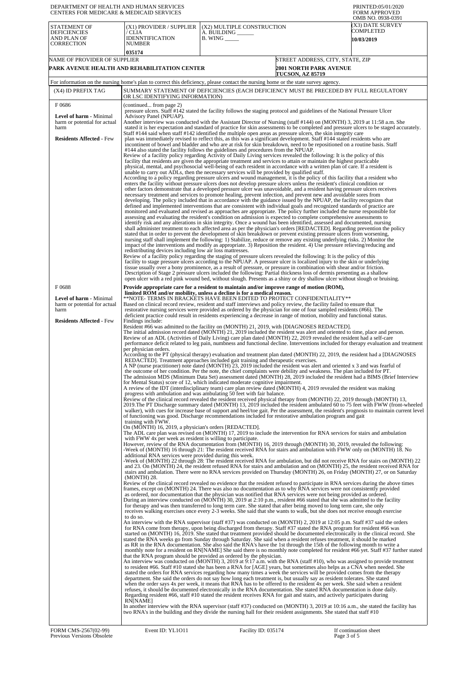| DEPARTMENT OF HEALTH AND HUMAN SERVICES<br>CENTERS FOR MEDICARE & MEDICAID SERVICES                                                            |                                                                                                                                                                                                                                                                                                                                              |                                                                                                                                                                                                                                                                                                                                                                                                                                                                                                                                                                                                                                                                                                                                                                                                                                                                                                                                                                                                                                                                                                                                                                                                                                                                                                                                                                                                                                                                                                                                                                                                                                                                                                                                                                                                                                                                                                                                                                                                                                                                                                                                                                                                                                                                                                                                                                                                                                                                                                                                                                                                                                                                                                                                                                                                                                                                                                                                                                                                                                                                                                                                                                                                                                                                                                                                                                                                                                                                                                                                                                                                                                                                                                                                                                                                                                                                                                                                                                                                                                                                                                                                                                                                                                                                                                                                                                                                                                                                                                                                                                                                                                                                                                                                                                                                                                                                                                                                                                                                                                                                                                                                                                                                                                                                                                                                                                                                                                                                                                                                                                                                                                                                                                                                                                                                                                                                                                                                                                                                                                                                                                                                                                                                                                                                                                                                                                                                                                                                                                                                                                                                                                                                                                                                                                                                                                                                                                                                                                                                                                                                                                                                                                                                                                                                                                                                                                                                                                                                                                                                                                                                                                                                                                                                |                                  | PRINTED:05/01/2020<br><b>FORM APPROVED</b><br>OMB NO. 0938-0391 |
|------------------------------------------------------------------------------------------------------------------------------------------------|----------------------------------------------------------------------------------------------------------------------------------------------------------------------------------------------------------------------------------------------------------------------------------------------------------------------------------------------|--------------------------------------------------------------------------------------------------------------------------------------------------------------------------------------------------------------------------------------------------------------------------------------------------------------------------------------------------------------------------------------------------------------------------------------------------------------------------------------------------------------------------------------------------------------------------------------------------------------------------------------------------------------------------------------------------------------------------------------------------------------------------------------------------------------------------------------------------------------------------------------------------------------------------------------------------------------------------------------------------------------------------------------------------------------------------------------------------------------------------------------------------------------------------------------------------------------------------------------------------------------------------------------------------------------------------------------------------------------------------------------------------------------------------------------------------------------------------------------------------------------------------------------------------------------------------------------------------------------------------------------------------------------------------------------------------------------------------------------------------------------------------------------------------------------------------------------------------------------------------------------------------------------------------------------------------------------------------------------------------------------------------------------------------------------------------------------------------------------------------------------------------------------------------------------------------------------------------------------------------------------------------------------------------------------------------------------------------------------------------------------------------------------------------------------------------------------------------------------------------------------------------------------------------------------------------------------------------------------------------------------------------------------------------------------------------------------------------------------------------------------------------------------------------------------------------------------------------------------------------------------------------------------------------------------------------------------------------------------------------------------------------------------------------------------------------------------------------------------------------------------------------------------------------------------------------------------------------------------------------------------------------------------------------------------------------------------------------------------------------------------------------------------------------------------------------------------------------------------------------------------------------------------------------------------------------------------------------------------------------------------------------------------------------------------------------------------------------------------------------------------------------------------------------------------------------------------------------------------------------------------------------------------------------------------------------------------------------------------------------------------------------------------------------------------------------------------------------------------------------------------------------------------------------------------------------------------------------------------------------------------------------------------------------------------------------------------------------------------------------------------------------------------------------------------------------------------------------------------------------------------------------------------------------------------------------------------------------------------------------------------------------------------------------------------------------------------------------------------------------------------------------------------------------------------------------------------------------------------------------------------------------------------------------------------------------------------------------------------------------------------------------------------------------------------------------------------------------------------------------------------------------------------------------------------------------------------------------------------------------------------------------------------------------------------------------------------------------------------------------------------------------------------------------------------------------------------------------------------------------------------------------------------------------------------------------------------------------------------------------------------------------------------------------------------------------------------------------------------------------------------------------------------------------------------------------------------------------------------------------------------------------------------------------------------------------------------------------------------------------------------------------------------------------------------------------------------------------------------------------------------------------------------------------------------------------------------------------------------------------------------------------------------------------------------------------------------------------------------------------------------------------------------------------------------------------------------------------------------------------------------------------------------------------------------------------------------------------------------------------------------------------------------------------------------------------------------------------------------------------------------------------------------------------------------------------------------------------------------------------------------------------------------------------------------------------------------------------------------------------------------------------------------------------------------------------------------------------------------------------------------------------------------------------------------------------------------------------------------------------------------------------------------------------------------------------------------------------------------------------------------------------------------------------------------------------------------------------------------------------------------------------------------------------------------------------------------------------------------------------------------------------------------------------------------------------------------------------------|----------------------------------|-----------------------------------------------------------------|
| STATEMENT OF<br><b>DEFICIENCIES</b><br>AND PLAN OF<br><b>CORRECTION</b>                                                                        | (X1) PROVIDER / SUPPLIER<br>/ CLIA<br>IDENNTIFICATION<br><b>NUMBER</b>                                                                                                                                                                                                                                                                       | (X2) MULTIPLE CONSTRUCTION<br>A. BUILDING ______<br>$B.$ WING $\_\_\_\_\_\_\$                                                                                                                                                                                                                                                                                                                                                                                                                                                                                                                                                                                                                                                                                                                                                                                                                                                                                                                                                                                                                                                                                                                                                                                                                                                                                                                                                                                                                                                                                                                                                                                                                                                                                                                                                                                                                                                                                                                                                                                                                                                                                                                                                                                                                                                                                                                                                                                                                                                                                                                                                                                                                                                                                                                                                                                                                                                                                                                                                                                                                                                                                                                                                                                                                                                                                                                                                                                                                                                                                                                                                                                                                                                                                                                                                                                                                                                                                                                                                                                                                                                                                                                                                                                                                                                                                                                                                                                                                                                                                                                                                                                                                                                                                                                                                                                                                                                                                                                                                                                                                                                                                                                                                                                                                                                                                                                                                                                                                                                                                                                                                                                                                                                                                                                                                                                                                                                                                                                                                                                                                                                                                                                                                                                                                                                                                                                                                                                                                                                                                                                                                                                                                                                                                                                                                                                                                                                                                                                                                                                                                                                                                                                                                                                                                                                                                                                                                                                                                                                                                                                                                                                                                                                  |                                  | (X3) DATE SURVEY<br>COMPLETED<br>10/03/2019                     |
| NAME OF PROVIDER OF SUPPLIER                                                                                                                   | 035174                                                                                                                                                                                                                                                                                                                                       |                                                                                                                                                                                                                                                                                                                                                                                                                                                                                                                                                                                                                                                                                                                                                                                                                                                                                                                                                                                                                                                                                                                                                                                                                                                                                                                                                                                                                                                                                                                                                                                                                                                                                                                                                                                                                                                                                                                                                                                                                                                                                                                                                                                                                                                                                                                                                                                                                                                                                                                                                                                                                                                                                                                                                                                                                                                                                                                                                                                                                                                                                                                                                                                                                                                                                                                                                                                                                                                                                                                                                                                                                                                                                                                                                                                                                                                                                                                                                                                                                                                                                                                                                                                                                                                                                                                                                                                                                                                                                                                                                                                                                                                                                                                                                                                                                                                                                                                                                                                                                                                                                                                                                                                                                                                                                                                                                                                                                                                                                                                                                                                                                                                                                                                                                                                                                                                                                                                                                                                                                                                                                                                                                                                                                                                                                                                                                                                                                                                                                                                                                                                                                                                                                                                                                                                                                                                                                                                                                                                                                                                                                                                                                                                                                                                                                                                                                                                                                                                                                                                                                                                                                                                                                                                                | STREET ADDRESS, CITY, STATE, ZIP |                                                                 |
|                                                                                                                                                | PARK AVENUE HEALTH AND REHABILITATION CENTER                                                                                                                                                                                                                                                                                                 |                                                                                                                                                                                                                                                                                                                                                                                                                                                                                                                                                                                                                                                                                                                                                                                                                                                                                                                                                                                                                                                                                                                                                                                                                                                                                                                                                                                                                                                                                                                                                                                                                                                                                                                                                                                                                                                                                                                                                                                                                                                                                                                                                                                                                                                                                                                                                                                                                                                                                                                                                                                                                                                                                                                                                                                                                                                                                                                                                                                                                                                                                                                                                                                                                                                                                                                                                                                                                                                                                                                                                                                                                                                                                                                                                                                                                                                                                                                                                                                                                                                                                                                                                                                                                                                                                                                                                                                                                                                                                                                                                                                                                                                                                                                                                                                                                                                                                                                                                                                                                                                                                                                                                                                                                                                                                                                                                                                                                                                                                                                                                                                                                                                                                                                                                                                                                                                                                                                                                                                                                                                                                                                                                                                                                                                                                                                                                                                                                                                                                                                                                                                                                                                                                                                                                                                                                                                                                                                                                                                                                                                                                                                                                                                                                                                                                                                                                                                                                                                                                                                                                                                                                                                                                                                                | <b>2001 NORTH PARK AVENUE</b>    |                                                                 |
|                                                                                                                                                |                                                                                                                                                                                                                                                                                                                                              | For information on the nursing home's plan to correct this deficiency, please contact the nursing home or the state survey agency.                                                                                                                                                                                                                                                                                                                                                                                                                                                                                                                                                                                                                                                                                                                                                                                                                                                                                                                                                                                                                                                                                                                                                                                                                                                                                                                                                                                                                                                                                                                                                                                                                                                                                                                                                                                                                                                                                                                                                                                                                                                                                                                                                                                                                                                                                                                                                                                                                                                                                                                                                                                                                                                                                                                                                                                                                                                                                                                                                                                                                                                                                                                                                                                                                                                                                                                                                                                                                                                                                                                                                                                                                                                                                                                                                                                                                                                                                                                                                                                                                                                                                                                                                                                                                                                                                                                                                                                                                                                                                                                                                                                                                                                                                                                                                                                                                                                                                                                                                                                                                                                                                                                                                                                                                                                                                                                                                                                                                                                                                                                                                                                                                                                                                                                                                                                                                                                                                                                                                                                                                                                                                                                                                                                                                                                                                                                                                                                                                                                                                                                                                                                                                                                                                                                                                                                                                                                                                                                                                                                                                                                                                                                                                                                                                                                                                                                                                                                                                                                                                                                                                                                             | <b>TUCSON, AZ 85719</b>          |                                                                 |
| (X4) ID PREFIX TAG                                                                                                                             |                                                                                                                                                                                                                                                                                                                                              | SUMMARY STATEMENT OF DEFICIENCIES (EACH DEFICIENCY MUST BE PRECEDED BY FULL REGULATORY                                                                                                                                                                                                                                                                                                                                                                                                                                                                                                                                                                                                                                                                                                                                                                                                                                                                                                                                                                                                                                                                                                                                                                                                                                                                                                                                                                                                                                                                                                                                                                                                                                                                                                                                                                                                                                                                                                                                                                                                                                                                                                                                                                                                                                                                                                                                                                                                                                                                                                                                                                                                                                                                                                                                                                                                                                                                                                                                                                                                                                                                                                                                                                                                                                                                                                                                                                                                                                                                                                                                                                                                                                                                                                                                                                                                                                                                                                                                                                                                                                                                                                                                                                                                                                                                                                                                                                                                                                                                                                                                                                                                                                                                                                                                                                                                                                                                                                                                                                                                                                                                                                                                                                                                                                                                                                                                                                                                                                                                                                                                                                                                                                                                                                                                                                                                                                                                                                                                                                                                                                                                                                                                                                                                                                                                                                                                                                                                                                                                                                                                                                                                                                                                                                                                                                                                                                                                                                                                                                                                                                                                                                                                                                                                                                                                                                                                                                                                                                                                                                                                                                                                                                         |                                  |                                                                 |
|                                                                                                                                                | OR LSC IDENTIFYING INFORMATION)                                                                                                                                                                                                                                                                                                              |                                                                                                                                                                                                                                                                                                                                                                                                                                                                                                                                                                                                                                                                                                                                                                                                                                                                                                                                                                                                                                                                                                                                                                                                                                                                                                                                                                                                                                                                                                                                                                                                                                                                                                                                                                                                                                                                                                                                                                                                                                                                                                                                                                                                                                                                                                                                                                                                                                                                                                                                                                                                                                                                                                                                                                                                                                                                                                                                                                                                                                                                                                                                                                                                                                                                                                                                                                                                                                                                                                                                                                                                                                                                                                                                                                                                                                                                                                                                                                                                                                                                                                                                                                                                                                                                                                                                                                                                                                                                                                                                                                                                                                                                                                                                                                                                                                                                                                                                                                                                                                                                                                                                                                                                                                                                                                                                                                                                                                                                                                                                                                                                                                                                                                                                                                                                                                                                                                                                                                                                                                                                                                                                                                                                                                                                                                                                                                                                                                                                                                                                                                                                                                                                                                                                                                                                                                                                                                                                                                                                                                                                                                                                                                                                                                                                                                                                                                                                                                                                                                                                                                                                                                                                                                                                |                                  |                                                                 |
| F0686<br><b>Level of harm - Minimal</b><br>harm or potential for actual<br>harm                                                                | (continued from page 2)<br>Advisory Panel (NPUAP).                                                                                                                                                                                                                                                                                           | pressure ulcers. Staff #142 stated the facility follows the staging protocol and guidelines of the National Pressure Ulcer<br>Another interview was conducted with the Assistant Director of Nursing (staff #144) on (MONTH) 3, 2019 at 11:58 a.m. She<br>stated it is her expectation and standard of practice for skin assessments to be completed and pressure ulcers to be staged accurately.                                                                                                                                                                                                                                                                                                                                                                                                                                                                                                                                                                                                                                                                                                                                                                                                                                                                                                                                                                                                                                                                                                                                                                                                                                                                                                                                                                                                                                                                                                                                                                                                                                                                                                                                                                                                                                                                                                                                                                                                                                                                                                                                                                                                                                                                                                                                                                                                                                                                                                                                                                                                                                                                                                                                                                                                                                                                                                                                                                                                                                                                                                                                                                                                                                                                                                                                                                                                                                                                                                                                                                                                                                                                                                                                                                                                                                                                                                                                                                                                                                                                                                                                                                                                                                                                                                                                                                                                                                                                                                                                                                                                                                                                                                                                                                                                                                                                                                                                                                                                                                                                                                                                                                                                                                                                                                                                                                                                                                                                                                                                                                                                                                                                                                                                                                                                                                                                                                                                                                                                                                                                                                                                                                                                                                                                                                                                                                                                                                                                                                                                                                                                                                                                                                                                                                                                                                                                                                                                                                                                                                                                                                                                                                                                                                                                                                                              |                                  |                                                                 |
| <b>Residents Affected - Few</b><br>F0688<br>Level of harm - Minimal<br>harm or potential for actual<br>harm<br><b>Residents Affected - Few</b> | redistributing devices including low air loss mattresses.<br>Findings include:<br>per physician orders.<br>training with FWW.<br>On (MONTH) 16, 2019, a physician's orders [REDACTED].<br>with FWW 4x per week as resident is willing to participate.<br>additional RNA services were provided during this week.<br>(MONTH) 28.<br>to do so. | Staff #144 said when staff #142 identified the multiple open areas as pressure ulcers, the skin integrity care<br>plan was immediately revised to reflect this, as this was a significant development. Staff #144 stated residents who are<br>incontinent of bowel and bladder and who are at risk for skin breakdown, need to be repositioned on a routine basis. Staff<br>#144 also stated the facility follows the guidelines and procedures from the NPUAP.<br>Review of a facility policy regarding Activity of Daily Living services revealed the following: It is the policy of this<br>facility that residents are given the appropriate treatment and services to attain or maintain the highest practicable<br>physical, mental, and psychosocial well-being of each resident in accordance with a written plan of care. If a resident is<br>unable to carry out ADLs, then the necessary services will be provided by qualified staff.<br>According to a policy regarding pressure ulcers and wound management, it is the policy of this facility that a resident who<br>enters the facility without pressure ulcers does not develop pressure ulcers unless the resident's clinical condition or<br>other factors demonstrate that a developed pressure ulcer was unavoidable, and a resident having pressure ulcers receives<br>necessary treatment and services to promote healing, prevent infection, and prevent new and avoidable sores from<br>developing. The policy included that in accordance with the guidance issued by the NPUAP, the facility recognizes that<br>defined and implemented interventions that are consistent with individual goals and recognized standards of practice are<br>monitored and evaluated and revised as approaches are appropriate. The policy further included the nurse responsible for<br>assessing and evaluating the resident's condition on admission is expected to complete comprehensive assessments to<br>identify risk and any alterations in skin integrity. Once a wound has been identified, assessed and documented, nursing<br>shall administer treatment to each affected area as per the physician's orders [REDACTED]. Regarding prevention the policy<br>stated that in order to prevent the development of skin breakdown or prevent existing pressure ulcers from worsening,<br>nursing staff shall implement the following: 1) Stabilize, reduce or remove any existing underlying risks. 2) Monitor the<br>impact of the interventions and modify as appropriate. 3) Reposition the resident. 4) Use pressure relieving/reducing and<br>Review of a facility policy regarding the staging of pressure ulcers revealed the following: It is the policy of this<br>facility to stage pressure ulcers according to the NPUAP. A pressure ulcer is localized injury to the skin or underlying<br>tissue usually over a bony prominence, as a result of pressure, or pressure in combination with shear and/or friction.<br>Description of Stage 2 pressure ulcers included the following: Partial thickness loss of dermis presenting as a shallow<br>open ulcer with a red pink wound bed, without slough. Presents as a shiny or dry shallow ulcer without slough or bruising.<br>Provide appropriate care for a resident to maintain and/or improve range of motion (ROM),<br>limited ROM and/or mobility, unless a decline is for a medical reason.<br>**NOTE- TERMS IN BRACKETS HAVE BEEN EDITED TO PROTECT CONFIDENTIALITY**<br>Based on clinical record review, resident and staff interviews and policy review, the facility failed to ensure that<br>restorative nursing services were provided as ordered by the physician for one of four sampled residents (#66). The<br>deficient practice could result in residents experiencing a decrease in range of motion, mobility and functional status.<br>Resident #66 was admitted to the facility on (MONTH) 21, 2019, with [DIAGNOSES REDACTED].<br>The initial admission record dated (MONTH) 21, 2019 included the resident was alert and oriented to time, place and person.<br>Review of an ADL (Activities of Daily Living) care plan dated (MONTH) 22, 2019 revealed the resident had a self-care<br>performance deficit related to leg pain, numbness and functional decline. Interventions included for therapy evaluation and treatment<br>According to the PT (physical therapy) evaluation and treatment plan dated (MONTH) 22, 2019, the resident had a [DIAGNOSES<br>REDACTED]. Treatment approaches included gait training and therapeutic exercises.<br>A NP (nurse practitioner) note dated (MONTH) 23, 2019 included the resident was alert and oriented x 3 and was fearful of<br>the outcome of her condition. Per the note, the chief complaints were debility and weakness. The plan included for PT.<br>The admission MDS (Minimum Data Set) assessment dated (MONTH) 28, 2019 included the resident had a BIMS (Brief Interview<br>for Mental Status) score of 12, which indicated moderate cognitive impairment.<br>A review of the IDT (interdisciplinary team) care plan review dated (MONTH) 4, 2019 revealed the resident was making<br>progress with ambulation and was ambulating 50 feet with fair balance.<br>Review of the clinical record revealed the resident received physical therapy from (MONTH) 22, 2019 through (MONTH) 13,<br>2019. The PT Discharge summary dated (MONTH) 13, 2019 included the resident ambulated 60 to 75 feet with FWW (front-wheeled<br>walker), with cues for increase base of support and heel/toe gait. Per the assessment, the resident's prognosis to maintain current level<br>of functioning was good. Discharge recommendations included for restorative ambulation program and gait<br>The ADL care plan was revised on (MONTH) 17, 2019 to include the intervention for RNA services for stairs and ambulation<br>However, review of the RNA documentation from (MONTH) 16, 2019 through (MONTH) 30, 2019, revealed the following:<br>-Week of (MONTH) 16 through 21: The resident received RNA for stairs and ambulation with FWW only on (MONTH) 18. No<br>-Week of (MONTH) 22 through 28: The resident received RNA for ambulation, but did not receive RNA for stairs on (MONTH) 22<br>and 23. On (MONTH) 24, the resident refused RNA for stairs and ambulation and on (MONTH) 25, the resident received RNA for<br>stairs and ambulation. There were no RNA services provided on Thursday (MONTH) 26, on Friday (MONTH) 27, or on Saturday<br>Review of the clinical record revealed no evidence that the resident refused to participate in RNA services during the above times<br>frames, except on (MONTH) 24. There was also no documentation as to why RNA services were not consistently provided<br>as ordered, nor documentation that the physician was notified that RNA services were not being provided as ordered.<br>During an interview conducted on (MONTH) 30, 2019 at 2:10 p.m., resident #66 stated that she was admitted to the facility<br>for therapy and was then transferred to long term care. She stated that after being moved to long term care, she only<br>receives walking exercises once every 2-3 weeks. She said that she wants to walk, but she does not receive enough exercise<br>An interview with the RNA supervisor (staff #37) was conducted on (MONTH) 2, 2019 at 12:05 p.m. Staff #37 said the orders<br>for RNA come from therapy, upon being discharged from therapy. Staff #37 stated the RNA program for resident #66 was<br>started on (MONTH) 16, 2019. She stated that treatment provided should be documented electronically in the clinical record. She |                                  |                                                                 |
|                                                                                                                                                |                                                                                                                                                                                                                                                                                                                                              | stated the RNA weeks go from Sunday through Saturday. She said when a resident refuses treatment, it should be marked<br>as RR in the RNA documentation. She also said the RNA's have the 1st through the 15th of the following month to write a<br>monthly note for a resident on RN[NAME] She said there is no monthly note completed for resident #66 yet. Staff #37 further stated<br>that the RNA program should be provided as ordered by the physician.<br>An interview was conducted on (MONTH) 3, 2019 at 9:17 a.m. with the RNA (staff #10), who was assigned to provide treatment<br>to resident #66. Staff #10 stated she has been a RNA for [AGE] years, but sometimes also helps as a CNA when needed. She<br>stated the orders for RNA services regarding how many times a week the services will be provided comes from the therapy<br>department. She said the orders do not say how long each treatment is, but usually say as resident tolerates. She stated<br>when the order says 4x per week, it means that RNA has to be offered to the resident 4x per week. She said when a resident<br>refuses, it should be documented electronically in the RNA documentation. She stated RNA documentation is done daily.<br>Regarding resident #66, staff #10 stated the resident receives RNA for gait and stairs, and actively participates during                                                                                                                                                                                                                                                                                                                                                                                                                                                                                                                                                                                                                                                                                                                                                                                                                                                                                                                                                                                                                                                                                                                                                                                                                                                                                                                                                                                                                                                                                                                                                                                                                                                                                                                                                                                                                                                                                                                                                                                                                                                                                                                                                                                                                                                                                                                                                                                                                                                                                                                                                                                                                                                                                                                                                                                                                                                                                                                                                                                                                                                                                                                                                                                                                                                                                                                                                                                                                                                                                                                                                                                                                                                                                                                                                                                                                                                                                                                                                                                                                                                                                                                                                                                                                                                                                                                                                                                                                                                                                                                                                                                                                                                                                                                                                                                                                                                                                                                                                                                                                                                                                                                                                                                                                                                                                                                                                                                                                                                                                                                                                                                                                                                                                                                                                                                                                                                                                                                                                                                                                                                                                                                                                                                                                                                                                                                                                             |                                  |                                                                 |
|                                                                                                                                                | RN[NAME]                                                                                                                                                                                                                                                                                                                                     | In another interview with the RNA supervisor (staff #37) conducted on (MONTH) 3, 2019 at 10:16 a.m., she stated the facility has<br>two RNA's in the building and they divide the nursing hall for their resident assignments. She stated that staff #10                                                                                                                                                                                                                                                                                                                                                                                                                                                                                                                                                                                                                                                                                                                                                                                                                                                                                                                                                                                                                                                                                                                                                                                                                                                                                                                                                                                                                                                                                                                                                                                                                                                                                                                                                                                                                                                                                                                                                                                                                                                                                                                                                                                                                                                                                                                                                                                                                                                                                                                                                                                                                                                                                                                                                                                                                                                                                                                                                                                                                                                                                                                                                                                                                                                                                                                                                                                                                                                                                                                                                                                                                                                                                                                                                                                                                                                                                                                                                                                                                                                                                                                                                                                                                                                                                                                                                                                                                                                                                                                                                                                                                                                                                                                                                                                                                                                                                                                                                                                                                                                                                                                                                                                                                                                                                                                                                                                                                                                                                                                                                                                                                                                                                                                                                                                                                                                                                                                                                                                                                                                                                                                                                                                                                                                                                                                                                                                                                                                                                                                                                                                                                                                                                                                                                                                                                                                                                                                                                                                                                                                                                                                                                                                                                                                                                                                                                                                                                                                                       |                                  |                                                                 |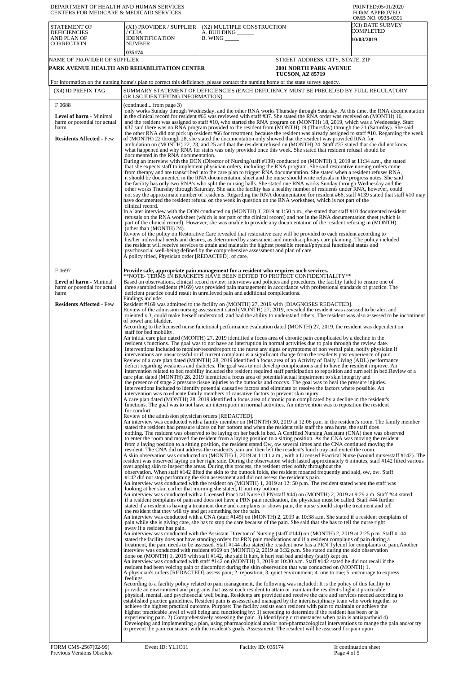| DEPARTMENT OF HEALTH AND HUMAN SERVICES<br>CENTERS FOR MEDICARE & MEDICAID SERVICES                       |                                                                                                                                                                      |                                                                                                                                                                                                                                                                                                                                                                                                                                                                                                                                                                                                                                                                                                                                                                                                                                                                                                                                                                                                                                                                                                                                                                                                                                                                                                                                                                                                                                                                                                                                                                                                                                                                                                                                                                                                                                                                                                                                                                                                                                                                                                                                                                                                                                                                                                                                                                                                                                                                                                                                                                                                                                                                                                                                                                                                                                                                                                                                                                                                                                                                                                                                                                                                                                                                                                                                                                                                                                                                                                                                                                                                                                                                                                                                                                                                                                                                                                                                                                                                                                                                                                                                                                                                                                                                            | PRINTED:05/01/2020<br><b>FORM APPROVED</b><br>OMB NO. 0938-0391 |
|-----------------------------------------------------------------------------------------------------------|----------------------------------------------------------------------------------------------------------------------------------------------------------------------|----------------------------------------------------------------------------------------------------------------------------------------------------------------------------------------------------------------------------------------------------------------------------------------------------------------------------------------------------------------------------------------------------------------------------------------------------------------------------------------------------------------------------------------------------------------------------------------------------------------------------------------------------------------------------------------------------------------------------------------------------------------------------------------------------------------------------------------------------------------------------------------------------------------------------------------------------------------------------------------------------------------------------------------------------------------------------------------------------------------------------------------------------------------------------------------------------------------------------------------------------------------------------------------------------------------------------------------------------------------------------------------------------------------------------------------------------------------------------------------------------------------------------------------------------------------------------------------------------------------------------------------------------------------------------------------------------------------------------------------------------------------------------------------------------------------------------------------------------------------------------------------------------------------------------------------------------------------------------------------------------------------------------------------------------------------------------------------------------------------------------------------------------------------------------------------------------------------------------------------------------------------------------------------------------------------------------------------------------------------------------------------------------------------------------------------------------------------------------------------------------------------------------------------------------------------------------------------------------------------------------------------------------------------------------------------------------------------------------------------------------------------------------------------------------------------------------------------------------------------------------------------------------------------------------------------------------------------------------------------------------------------------------------------------------------------------------------------------------------------------------------------------------------------------------------------------------------------------------------------------------------------------------------------------------------------------------------------------------------------------------------------------------------------------------------------------------------------------------------------------------------------------------------------------------------------------------------------------------------------------------------------------------------------------------------------------------------------------------------------------------------------------------------------------------------------------------------------------------------------------------------------------------------------------------------------------------------------------------------------------------------------------------------------------------------------------------------------------------------------------------------------------------------------------------------------------------------------------------------------------------------------------------|-----------------------------------------------------------------|
| <b>STATEMENT OF</b><br><b>DEFICIENCIES</b><br>AND PLAN OF<br><b>CORRECTION</b>                            | (X1) PROVIDER / SUPPLIER<br>/ CLIA<br><b>IDENNTIFICATION</b><br>NUMBER                                                                                               | (X2) MULTIPLE CONSTRUCTION<br>A. BUILDING ______<br>$B.$ WING $\_\_\_\_\_\_\$                                                                                                                                                                                                                                                                                                                                                                                                                                                                                                                                                                                                                                                                                                                                                                                                                                                                                                                                                                                                                                                                                                                                                                                                                                                                                                                                                                                                                                                                                                                                                                                                                                                                                                                                                                                                                                                                                                                                                                                                                                                                                                                                                                                                                                                                                                                                                                                                                                                                                                                                                                                                                                                                                                                                                                                                                                                                                                                                                                                                                                                                                                                                                                                                                                                                                                                                                                                                                                                                                                                                                                                                                                                                                                                                                                                                                                                                                                                                                                                                                                                                                                                                                                                              | (X3) DATE SURVEY<br>COMPLETED<br><b>10/03/2019</b>              |
| NAME OF PROVIDER OF SUPPLIER                                                                              | 035174<br>PARK AVENUE HEALTH AND REHABILITATION CENTER                                                                                                               | STREET ADDRESS, CITY, STATE, ZIP<br><b>2001 NORTH PARK AVENUE</b>                                                                                                                                                                                                                                                                                                                                                                                                                                                                                                                                                                                                                                                                                                                                                                                                                                                                                                                                                                                                                                                                                                                                                                                                                                                                                                                                                                                                                                                                                                                                                                                                                                                                                                                                                                                                                                                                                                                                                                                                                                                                                                                                                                                                                                                                                                                                                                                                                                                                                                                                                                                                                                                                                                                                                                                                                                                                                                                                                                                                                                                                                                                                                                                                                                                                                                                                                                                                                                                                                                                                                                                                                                                                                                                                                                                                                                                                                                                                                                                                                                                                                                                                                                                                          |                                                                 |
|                                                                                                           |                                                                                                                                                                      | <b>TUCSON, AZ 85719</b>                                                                                                                                                                                                                                                                                                                                                                                                                                                                                                                                                                                                                                                                                                                                                                                                                                                                                                                                                                                                                                                                                                                                                                                                                                                                                                                                                                                                                                                                                                                                                                                                                                                                                                                                                                                                                                                                                                                                                                                                                                                                                                                                                                                                                                                                                                                                                                                                                                                                                                                                                                                                                                                                                                                                                                                                                                                                                                                                                                                                                                                                                                                                                                                                                                                                                                                                                                                                                                                                                                                                                                                                                                                                                                                                                                                                                                                                                                                                                                                                                                                                                                                                                                                                                                                    |                                                                 |
| (X4) ID PREFIX TAG                                                                                        |                                                                                                                                                                      | For information on the nursing home's plan to correct this deficiency, please contact the nursing home or the state survey agency.<br>SUMMARY STATEMENT OF DEFICIENCIES (EACH DEFICIENCY MUST BE PRECEDED BY FULL REGULATORY                                                                                                                                                                                                                                                                                                                                                                                                                                                                                                                                                                                                                                                                                                                                                                                                                                                                                                                                                                                                                                                                                                                                                                                                                                                                                                                                                                                                                                                                                                                                                                                                                                                                                                                                                                                                                                                                                                                                                                                                                                                                                                                                                                                                                                                                                                                                                                                                                                                                                                                                                                                                                                                                                                                                                                                                                                                                                                                                                                                                                                                                                                                                                                                                                                                                                                                                                                                                                                                                                                                                                                                                                                                                                                                                                                                                                                                                                                                                                                                                                                               |                                                                 |
| F0688                                                                                                     | OR LSC IDENTIFYING INFORMATION)<br>(continued from page 3)                                                                                                           |                                                                                                                                                                                                                                                                                                                                                                                                                                                                                                                                                                                                                                                                                                                                                                                                                                                                                                                                                                                                                                                                                                                                                                                                                                                                                                                                                                                                                                                                                                                                                                                                                                                                                                                                                                                                                                                                                                                                                                                                                                                                                                                                                                                                                                                                                                                                                                                                                                                                                                                                                                                                                                                                                                                                                                                                                                                                                                                                                                                                                                                                                                                                                                                                                                                                                                                                                                                                                                                                                                                                                                                                                                                                                                                                                                                                                                                                                                                                                                                                                                                                                                                                                                                                                                                                            |                                                                 |
| <b>Level of harm - Minimal</b><br>harm or potential for actual<br>harm<br><b>Residents Affected - Few</b> | documented in the RNA documentation.                                                                                                                                 | only works Sunday through Wednesday, and the other RNA works Thursday through Saturday. At this time, the RNA documentation<br>in the clinical record for resident #66 was reviewed with staff #37. She stated the RNA order was received on (MONTH) 16,<br>and the resident was assigned to staff #10, who started the RNA program on (MONTH) 18, 2019, which was a Wednesday. Staff<br>#37 said there was no RNA program provided to the resident from (MONTH) 19 (Thursday) through the 21 (Saturday). She said<br>the other RNA did not pick up resident #66 for treatment, because the resident was already assigned to staff #10. Regarding the week<br>of (MONTH) 22 through 28, she stated the documentation only showed that the resident was provided RNA for<br>ambulation on (MONTH) 22, 23, and 25 and that the resident refused on (MONTH) 24. Staff #37 stated that she did not know<br>what happened and why RNA for stairs was only provided once this week. She stated that resident refusal should be                                                                                                                                                                                                                                                                                                                                                                                                                                                                                                                                                                                                                                                                                                                                                                                                                                                                                                                                                                                                                                                                                                                                                                                                                                                                                                                                                                                                                                                                                                                                                                                                                                                                                                                                                                                                                                                                                                                                                                                                                                                                                                                                                                                                                                                                                                                                                                                                                                                                                                                                                                                                                                                                                                                                                                                                                                                                                                                                                                                                                                                                                                                                                                                                                                                   |                                                                 |
|                                                                                                           | clinical record.<br>(other than (MONTH) 24).                                                                                                                         | During an interview with the DON (Director of Nursing/staff #139) conducted on (MONTH) 3, 2019 at 11:34 a.m., she stated<br>that she expects staff to implement physician orders, including the RNA program. She said restorative nursing orders come<br>from therapy and are transcribed into the care plan to trigger RNA documentation. She stated when a resident refuses RNA,<br>it should be documented in the RNA documentation sheet and the nurse should write refusals in the progress notes. She said<br>the facility has only two RNA's who split the nursing halls. She stated one RNA works Sunday through Wednesday and the<br>other works Thursday through Saturday. She said the facility has a healthy number of residents under RNA, however, could<br>not say the approximate number of residents. Regarding the RNA documentation for resident #66, staff #139 stated that staff #10 may<br>have documented the resident refusal on the week in question on the RNA worksheet, which is not part of the<br>In a later interview with the DON conducted on (MONTH) 3, 2019 at 1:50 p.m., she stated that staff #10 documented resident<br>refusals on the RNA worksheet (which is not part of the clinical record) and not in the RNA documentation sheet (which is<br>part of the clinical record). However, she was unable to provide any documentation of the resident refusing in (MONTH)<br>Review of the policy on Restorative Care revealed that restorative care will be provided to each resident according to                                                                                                                                                                                                                                                                                                                                                                                                                                                                                                                                                                                                                                                                                                                                                                                                                                                                                                                                                                                                                                                                                                                                                                                                                                                                                                                                                                                                                                                                                                                                                                                                                                                                                                                                                                                                                                                                                                                                                                                                                                                                                                                                                                                                                                                                                                                                                                                                                                                                                                                                                                                                                                                                                                                                |                                                                 |
|                                                                                                           | A policy titled, Physician order [REDACTED]. of care.                                                                                                                | his/her individual needs and desires, as determined by assessment and interdisciplinary care planning. The policy included<br>the resident will receive services to attain and maintain the highest possible mental/physical functional status and<br>psychosocial well-being defined by the comprehensive assessment and plan of care.                                                                                                                                                                                                                                                                                                                                                                                                                                                                                                                                                                                                                                                                                                                                                                                                                                                                                                                                                                                                                                                                                                                                                                                                                                                                                                                                                                                                                                                                                                                                                                                                                                                                                                                                                                                                                                                                                                                                                                                                                                                                                                                                                                                                                                                                                                                                                                                                                                                                                                                                                                                                                                                                                                                                                                                                                                                                                                                                                                                                                                                                                                                                                                                                                                                                                                                                                                                                                                                                                                                                                                                                                                                                                                                                                                                                                                                                                                                                    |                                                                 |
| F0697                                                                                                     |                                                                                                                                                                      | Provide safe, appropriate pain management for a resident who requires such services.<br>**NOTE- TERMS IN BRACKETS HAVE BEEN EDITED TO PROTECT CONFIDENTIALITY**                                                                                                                                                                                                                                                                                                                                                                                                                                                                                                                                                                                                                                                                                                                                                                                                                                                                                                                                                                                                                                                                                                                                                                                                                                                                                                                                                                                                                                                                                                                                                                                                                                                                                                                                                                                                                                                                                                                                                                                                                                                                                                                                                                                                                                                                                                                                                                                                                                                                                                                                                                                                                                                                                                                                                                                                                                                                                                                                                                                                                                                                                                                                                                                                                                                                                                                                                                                                                                                                                                                                                                                                                                                                                                                                                                                                                                                                                                                                                                                                                                                                                                            |                                                                 |
| <b>Level of harm - Minimal</b><br>harm or potential for actual<br>harm                                    | Findings include:                                                                                                                                                    | Based on observations, clinical record review, interviews and policies and procedures, the facility failed to ensure one of<br>three sampled residents (#169) was provided pain management in accordance with professional standards of practice. The<br>deficient practice could result in unrelieved pain and additional complications.                                                                                                                                                                                                                                                                                                                                                                                                                                                                                                                                                                                                                                                                                                                                                                                                                                                                                                                                                                                                                                                                                                                                                                                                                                                                                                                                                                                                                                                                                                                                                                                                                                                                                                                                                                                                                                                                                                                                                                                                                                                                                                                                                                                                                                                                                                                                                                                                                                                                                                                                                                                                                                                                                                                                                                                                                                                                                                                                                                                                                                                                                                                                                                                                                                                                                                                                                                                                                                                                                                                                                                                                                                                                                                                                                                                                                                                                                                                                  |                                                                 |
| <b>Residents Affected - Few</b>                                                                           | of bowel and bladder.                                                                                                                                                | Resident #169 was admitted to the facility on (MONTH) 27, 2019 with [DIAGNOSES REDACTED].<br>Review of the admission nursing assessment dated (MONTH) 27, 2019, revealed the resident was assessed to be alert and<br>oriented x 3, could make herself understood, and had the ability to understand others. The resident was also assessed to be incontinent<br>According to the licensed nurse functional performance evaluation dated (MONTH) 27, 2019, the resident was dependent on                                                                                                                                                                                                                                                                                                                                                                                                                                                                                                                                                                                                                                                                                                                                                                                                                                                                                                                                                                                                                                                                                                                                                                                                                                                                                                                                                                                                                                                                                                                                                                                                                                                                                                                                                                                                                                                                                                                                                                                                                                                                                                                                                                                                                                                                                                                                                                                                                                                                                                                                                                                                                                                                                                                                                                                                                                                                                                                                                                                                                                                                                                                                                                                                                                                                                                                                                                                                                                                                                                                                                                                                                                                                                                                                                                                   |                                                                 |
|                                                                                                           | staff for bed mobility.<br>for comfort.                                                                                                                              | An initial care plan dated (MONTH) 27, 2019 identified a focus area of chronic pain complicated by a decline in the<br>resident's functions. The goal was to not have an interruption in normal activities due to pain through the review date.<br>Interventions included to monitor/record/report to the nurse any signs or symptoms of non verbal pain, notify physician if<br>interventions are unsuccessful or if current complaint is a significant change from the residents past experience of pain.<br>Review of a care plan dated (MONTH) 28, 2019 identified a focus area of an Activity of Daily Living (ADL) performance<br>deficit regarding weakness and diabetes. The goal was to not develop complications and to have the resident improve. An<br>intervention related to bed mobility included the resident required staff participation to reposition and turn self in bed. Review of a<br>care plan dated (MONTH) 28, 2019 identified a focus area of potential/actual impairment to skin integrity and<br>the presence of stage 2 pressure tissue injuries to the buttocks and coccyx. The goal was to heal the pressure injuries.<br>Interventions included to identify potential causative factors and eliminate or resolve the factors where possible. An<br>intervention was to educate family members of causative factors to prevent skin injury.<br>A care plan dated (MONTH) 28, 2019 identified a focus area of chronic pain complicated by a decline in the resident's<br>functions. The goal was to not have an interruption in normal activities. An intervention was to reposition the resident                                                                                                                                                                                                                                                                                                                                                                                                                                                                                                                                                                                                                                                                                                                                                                                                                                                                                                                                                                                                                                                                                                                                                                                                                                                                                                                                                                                                                                                                                                                                                                                                                                                                                                                                                                                                                                                                                                                                                                                                                                                                                                                                                                                                                                                                                                                                                                                                                                                                                                                                                                                                                                          |                                                                 |
|                                                                                                           | Review of the admission physician orders [REDACTED].<br>the resident that they will try and get something for the pain.<br>away if a resident has pain.<br>feelings. | An interview was conducted with a family member on (MONTH) 30, 2019 at 12:06 p.m. in the resident's room. The family member<br>stated the resident had pressure ulcers on her bottom and when the resident tells staff the area hurts, the staff does<br>nothing. The resident was observed to be laying on her back in bed. A Certified Nursing Assistant (CNA) then was observed<br>to enter the room and moved the resident from a laying position to a sitting position. As the CNA was moving the resident<br>from a laying position to a sitting position, the resident stated Ow, ow several times and the CNA continued moving the<br>resident. The CNA did not address the resident's pain and then left the resident's lunch tray and exited the room.<br>A skin observation was conducted on (MONTH) 1, 2019 at 11:11 a.m., with a Licensed Practical Nurse (wound nurse/staff #142). The<br>resident was observed laying on her right side. During the observation which lasted approximately 6 minutes, staff #142 lifted various<br>overlapping skin to inspect the areas. During this process, the resident cried softly throughout the<br>observation. When staff #142 lifted the skin to the buttock folds, the resident moaned frequently and said, ow, ow. Staff<br>#142 did not stop performing the skin assessment and did not assess the resident's pain.<br>An interview was conducted with the resident on (MONTH) 1, 2019 at 12: 50 p.m. The resident stated when the staff was<br>looking at her skin earlier that morning she stated, It hurt my bottom.<br>An interview was conducted with a Licensed Practical Nurse (LPN/staff #44) on (MONTH) 2, 2019 at 9:29 a.m. Staff #44 stated<br>if a resident complains of pain and does not have a PRN pain medication, the physician must be called. Staff #44 further<br>stated if a resident is having a treatment done and complains or shows pain, the nurse should stop the treatment and tell<br>An interview was conducted with a CNA (staff #145) on (MONTH) 2, 2019 at 10:38 a.m. She stated if a resident complains of<br>pain while she is giving care, she has to stop the care because of the pain. She said that she has to tell the nurse right<br>An interview was conducted with the Assistant Director of Nursing (staff #144) on (MONTH) 2, 2019 at 2:25 p.m. Staff #144<br>stated the facility does not have standing orders for PRN pain medications and if a resident complains of pain during a<br>treatment, the pain needs to be assessed. Staff #144 also stated the resident now has a PRN Tylenol for complaints of pain. Another<br>interview was conducted with resident #169 on (MONTH) 2, 2019 at 3:32 p.m. She stated during the skin observation<br>done on (MONTH) 1, 2019 with staff #142, she said It hurt, it hurt real bad and they (staff) kept on.<br>An interview was conducted with staff #142 on (MONTH) 3, 2019 at 10:30 a.m. Staff #142 stated he did not recall if the<br>resident had been voicing pain or discomfort during the skin observation that was conducted on (MONTH) 1.<br>A physician's orders [REDACTED], assess pain; 2, reposition; 3, quiet environment; 4, one to one; 5, encourage to express<br>According to a facility policy related to pain management, the following was included: It is the policy of this facility to<br>provide an environment and programs that assist each resident to attain or maintain the resident's highest practicable<br>physical, mental, and psychosocial well being. Residents are provided and receive the care and services needed according to<br>established practice guidelines. Resident pain is assessed and managed by the interdisciplinary team who work together to<br>achieve the highest practical outcome. Purpose: The facility assists each resident with pain to maintain or achieve the<br>highest practicable level of well being and functioning by: 1) screening to determine if the resident has been or is<br>experiencing pain. 2) Comprehensively assessing the pain. 3) Identifying circumstances when pain is antiapartheid 4)<br>Developing and implementing a plan, using pharmacological and/or non-pharmacological interventions to mange the pain and/or try |                                                                 |
|                                                                                                           |                                                                                                                                                                      | to prevent the pain consistent with the resident's goals. Assessment: The resident will be assessed for pain upon                                                                                                                                                                                                                                                                                                                                                                                                                                                                                                                                                                                                                                                                                                                                                                                                                                                                                                                                                                                                                                                                                                                                                                                                                                                                                                                                                                                                                                                                                                                                                                                                                                                                                                                                                                                                                                                                                                                                                                                                                                                                                                                                                                                                                                                                                                                                                                                                                                                                                                                                                                                                                                                                                                                                                                                                                                                                                                                                                                                                                                                                                                                                                                                                                                                                                                                                                                                                                                                                                                                                                                                                                                                                                                                                                                                                                                                                                                                                                                                                                                                                                                                                                          |                                                                 |